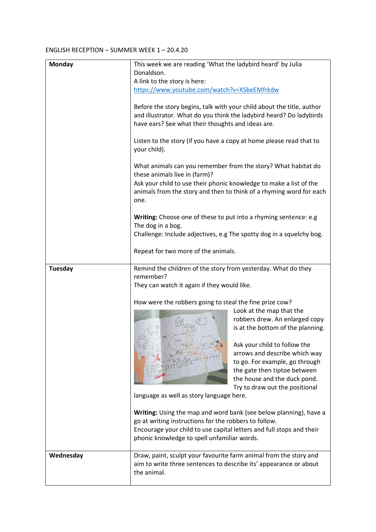## ENGLISH RECEPTION – SUMMER WEEK 1 – 20.4.20

| <b>Monday</b> | This week we are reading 'What the ladybird heard' by Julia<br>Donaldson.                                                                                                                                                                         |                                                                                                                                                                 |
|---------------|---------------------------------------------------------------------------------------------------------------------------------------------------------------------------------------------------------------------------------------------------|-----------------------------------------------------------------------------------------------------------------------------------------------------------------|
|               | A link to the story is here:                                                                                                                                                                                                                      |                                                                                                                                                                 |
|               | https://www.youtube.com/watch?v=XSbeEMfrkdw<br>Before the story begins, talk with your child about the title, author<br>and illustrator. What do you think the ladybird heard? Do ladybirds<br>have ears? See what their thoughts and ideas are.  |                                                                                                                                                                 |
|               |                                                                                                                                                                                                                                                   |                                                                                                                                                                 |
|               | Listen to the story (if you have a copy at home please read that to<br>your child).                                                                                                                                                               |                                                                                                                                                                 |
|               | What animals can you remember from the story? What habitat do<br>these animals live in (farm)?<br>Ask your child to use their phonic knowledge to make a list of the                                                                              |                                                                                                                                                                 |
|               | one.                                                                                                                                                                                                                                              | animals from the story and then to think of a rhyming word for each                                                                                             |
|               | Writing: Choose one of these to put into a rhyming sentence: e.g<br>The dog in a bog.<br>Challenge: Include adjectives, e.g The spotty dog in a squelchy bog.                                                                                     |                                                                                                                                                                 |
|               | Repeat for two more of the animals.                                                                                                                                                                                                               |                                                                                                                                                                 |
| Tuesday       | Remind the children of the story from yesterday. What do they                                                                                                                                                                                     |                                                                                                                                                                 |
|               | remember?                                                                                                                                                                                                                                         |                                                                                                                                                                 |
|               | They can watch it again if they would like.                                                                                                                                                                                                       |                                                                                                                                                                 |
|               | How were the robbers going to steal the fine prize cow?                                                                                                                                                                                           |                                                                                                                                                                 |
|               |                                                                                                                                                                                                                                                   | Look at the map that the                                                                                                                                        |
|               |                                                                                                                                                                                                                                                   | robbers drew. An enlarged copy<br>is at the bottom of the planning.                                                                                             |
|               |                                                                                                                                                                                                                                                   | Ask your child to follow the<br>arrows and describe which way<br>to go. For example, go through<br>the gate then tiptoe between<br>the house and the duck pond. |
|               | language as well as story language here.                                                                                                                                                                                                          | Try to draw out the positional                                                                                                                                  |
|               | Writing: Using the map and word bank (see below planning), have a<br>go at writing instructions for the robbers to follow.<br>Encourage your child to use capital letters and full stops and their<br>phonic knowledge to spell unfamiliar words. |                                                                                                                                                                 |
| Wednesday     | Draw, paint, sculpt your favourite farm animal from the story and<br>aim to write three sentences to describe its' appearance or about<br>the animal.                                                                                             |                                                                                                                                                                 |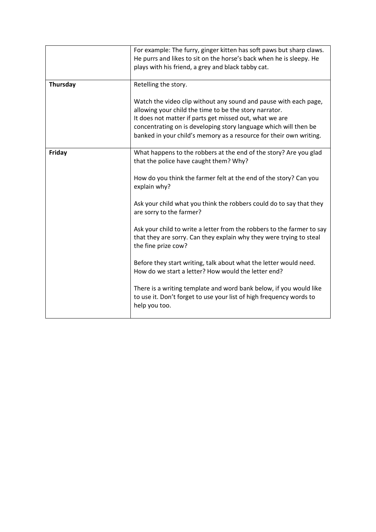|          | For example: The furry, ginger kitten has soft paws but sharp claws.<br>He purrs and likes to sit on the horse's back when he is sleepy. He<br>plays with his friend, a grey and black tabby cat.                                                                                                                               |
|----------|---------------------------------------------------------------------------------------------------------------------------------------------------------------------------------------------------------------------------------------------------------------------------------------------------------------------------------|
| Thursday | Retelling the story.                                                                                                                                                                                                                                                                                                            |
|          | Watch the video clip without any sound and pause with each page,<br>allowing your child the time to be the story narrator.<br>It does not matter if parts get missed out, what we are<br>concentrating on is developing story language which will then be<br>banked in your child's memory as a resource for their own writing. |
| Friday   | What happens to the robbers at the end of the story? Are you glad<br>that the police have caught them? Why?                                                                                                                                                                                                                     |
|          | How do you think the farmer felt at the end of the story? Can you<br>explain why?                                                                                                                                                                                                                                               |
|          | Ask your child what you think the robbers could do to say that they<br>are sorry to the farmer?                                                                                                                                                                                                                                 |
|          | Ask your child to write a letter from the robbers to the farmer to say<br>that they are sorry. Can they explain why they were trying to steal<br>the fine prize cow?                                                                                                                                                            |
|          | Before they start writing, talk about what the letter would need.<br>How do we start a letter? How would the letter end?                                                                                                                                                                                                        |
|          | There is a writing template and word bank below, if you would like<br>to use it. Don't forget to use your list of high frequency words to<br>help you too.                                                                                                                                                                      |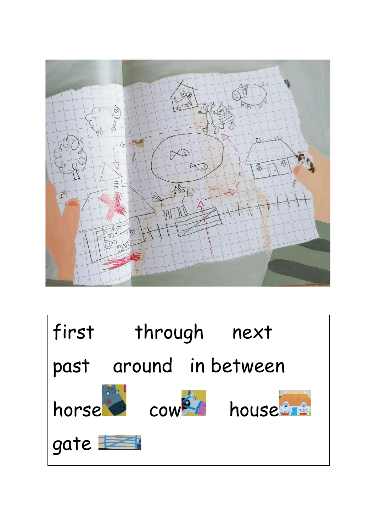